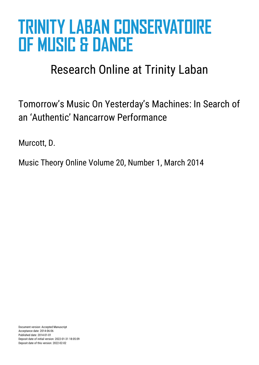# **TRINITY LABAN CONSERVATOIRE OF MUSIC & DANCE**

## Research Online at Trinity Laban

Tomorrow's Music On Yesterday's Machines: In Search of an 'Authentic' Nancarrow Performance

Murcott, D.

Music Theory Online Volume 20, Number 1, March 2014

Document version: Accepted Manuscript Acceptance date: 2014-06-06 Published date: 2014-01-01 Deposit date of initial version: 2022-01-31 18:05:09 Deposit date of this version: 2022-02-02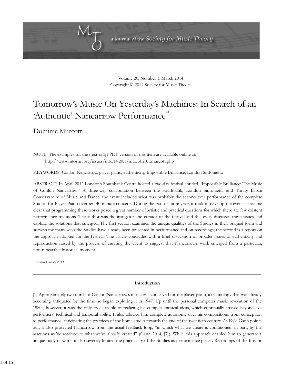

Volume 20, Number 1, March 2014 Copyright © 2014 Society for Music Theory

### Tomorrow's Music On Yesterday's Machines: In Search of an 'Authentic' Nancarrow Performance

Dominic Murcott

NOTE: The examples for the (text-only) PDF version of this item are available online at: http://www.mtosmt.org/issues/mto.14.20.1/mto.14.20.1.murcott.php

KEYWORDS: Conlon Nancarrow, player piano, authenticity, Impossible Brilliance, London Sinfonietta

ABSTRACT: In April 2012 London's Southbank Centre hosted a two-day festival entitled "Impossible Brilliance: The Music of Conlon Nancarrow." A three-way collaboration between the Southbank, London Sinfonietta and Trinity Laban Conservatoire of Music and Dance, the event included what was probably the second ever performance of the complete Studies for Player Piano over ten 40-minute concerts. During the two or more years it took to develop the event it became clear that programming these works posed a great number of artistic and practical questions for which there are few existent performance traditions. The author was the instigator and curator of the festival and this essay discusses these issues and explore the solutions that emerged. The first section examines the unique qualities of the Studies in their original form and surveys the many ways the Studies have already been presented in performance and on recordings; the second is a report on the approach adopted for the festival. The article concludes with a brief discussion of broader issues of authenticity and reproduction raised by the process of curating the event to suggest that Nancarrow's work emerged from a particular, non-repeatable historical moment.

*Received January 2014*

#### **Introduction**

[1] Approximately two thirds of Conlon Nancarrow's music was conceived for the player piano, a technology that was already becoming antiquated by the time he began exploring it in 1947. Up until the personal computer music revolution of the 1980s, however, it was the only tool capable of realizing his complex musical ideas, which continually strayed beyond live performers' technical and temporal ability. It also allowed him complete autonomy over his compositions from conception to performance, anticipating the practices of the home studio towards the end of the twentieth century. As Kyle Gann points out, it also protected Nancarrow from the usual feedback loop, "in which what we create is conditioned, in part, by the reactions we've received to what we've already created" (Gann 2014, [7]). While this approach enabled him to generate a unique body of work, it also severely limited the practicality of the Studies as performance pieces. Recordings of the fifty or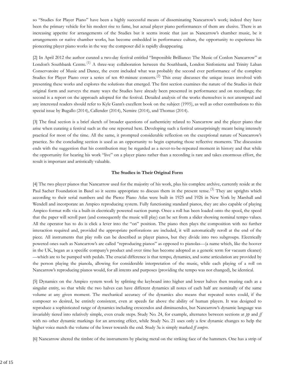so "Studies for Player Piano" have been a highly successful means of disseminating Nancarrow's work; indeed they have been the primary vehicle for his modest rise to fame, but actual player piano performances of them are elusive. There is an increasing appetite for arrangements of the Studies but it seems ironic that just as Nancarrow's chamber music, be it arrangements or native chamber works, has become embedded in performance culture, the opportunity to experience his pioneering player piano works in the way the composer did is rapidly disappearing.

[2] In April 2012 the author curated a two-day festival entitled "Impossible Brilliance: The Music of Conlon Nancarrow" at London's Southbank Centre.<sup>(1)</sup> A three-way collaboration between the Southbank, London Sinfonietta and Trinity Laban Conservatoire of Music and Dance, the event included what was probably the second ever performance of the complete Studies for Player Piano over a series of ten 40-minute concerts.<sup>(2)</sup> This essay discusses the unique issues involved with presenting these works and explores the solutions that emerged. The first section examines the nature of the Studies in their original form and surveys the many ways the Studies have already been presented in performance and on recordings; the second is a report on the approach adopted for the festival. Detailed analysis of the works themselves is not attempted and any interested readers should refer to Kyle Gann's excellent book on the subject (1995), as well as other contributions to this special issue by Bugallo (2014), Callender (2014), Nemire (2014), and Thomas (2014).

[3] The final section is a brief sketch of broader questions of authenticity related to Nancarrow and the player piano that arise when curating a festival such as the one reported here. Developing such a festival unsurprisingly meant being intensely practical for most of the time. All the same, it prompted considerable reflection on the exceptional nature of Nancarrow's practice. So the concluding section is used as an opportunity to begin capturing those reflective moments. The discussion ends with the suggestion that his contribution may be regarded as a never-to-be-repeated moment in history and that while the opportunity for hearing his work "live" on a player piano rather than a recording is rare and takes enormous effort, the result is important and artistically valuable.

#### **The Studies in Their Original Form**

[4] The two player pianos that Nancarrow used for the majority of his work, plus his complete archive, currently reside at the Paul Sacher Foundation in Basel so it seems appropriate to discuss them in the present tense.<sup>(3)</sup> They are uprights which according to their serial numbers and the Pierce Piano Atlas were built in 1925 and 1926 in New York by Marshall and Wendell and incorporate an Ampico reproducing system. Fully functioning standard pianos, they are also capable of playing Ampico format rolls via a built-in electrically powered suction pump. Once a roll has been loaded onto the spool, the speed that the paper will scroll past (and consequently the music will play) can be set from a slider showing nominal tempo values. All the operator has to do is click a lever into the "on" position. The piano then plays the composition with no further interaction required and, provided the appropriate perforations are included, it will automatically reroll at the end of the piece. All instruments that play rolls can be described as player pianos, but they divide into two subgroups. Electrically powered ones such as Nancarrow's are called "reproducing pianos" as opposed to pianolas—(a name which, like the hoover in the UK, began as a specific company's product and over time has become adopted as a generic term for vacuum cleaner) —which are to be pumped with pedals. The crucial difference is that tempo, dynamics, and some articulation are provided by the person playing the pianola, allowing for considerable interpretation of the music, while each playing of a roll on Nancarrow's reproducing pianos would, for all intents and purposes (providing the tempo was not changed), be identical.

[5] Dynamics on the Ampico system work by splitting the keyboard into higher and lower halves then treating each as a singular entity, so that while the two halves can have different dynamics all notes of each half are nominally of the same volume at any given moment. The mechanical accuracy of the dynamics also means that repeated notes could, if the composer so desired, be entirely consistent, even at speeds far above the ability of human players. It was designed to reproduce a sophisticated range of dynamics including crescendos and diminuendos, but Nancarrow's dynamic language was invariably tiered into relatively simple, even crude steps. Study No. 24, for example, alternates between sections at *pp* and *ff* with no other dynamic markings for an arresting effect, while Study No. 21 uses only a few dynamic changes to help the higher voice match the volume of the lower towards the end. Study 3a is simply marked *ff sempre*.

[6] Nancarrow altered the timbre of the instruments by placing metal on the striking face of the hammers. One has a strip of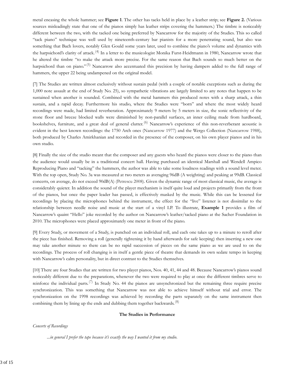metal encasing the whole hammer; see **Figure 1**. The other has tacks held in place by a leather strip; see **Figure 2.** (Various sources misleadingly state that one of the pianos simply has leather strips covering the hammers.) The timbre is noticeably different between the two, with the tacked one being preferred by Nancarrow for the majority of the Studies. This so called "tack piano" technique was well used by nineteenth-century bar pianists for a more penetrating sound, but also was something that Bach lovers, notably Glen Gould some years later, used to combine the piano's volume and dynamics with the harpsichord's clarity of attack.<sup>(4)</sup> In a letter to the musicologist Monika Furst-Heidtmann in 1980, Nancarrow wrote that he altered the timbre "to make the attack more precise. For the same reason that Bach sounds so much better on the harpsichord than on piano."<sup>(5)</sup> Nancarrow also accentuated this precision by having dampers added to the full range of hammers, the upper 22 being undampened on the original model.

[7] The Studies are written almost exclusively without sustain pedal (with a couple of notable exceptions such as during the 1,000 note assault at the end of Study No. 25), so sympathetic vibrations are largely limited to any notes that happen to be sustained when another is sounded. Combined with the metal hammers this produced notes with a sharp attack, a thin sustain, and a rapid decay. Furthermore his studio, where the Studies were "born" and where the most widely heard recordings were made, had limited reverberation. Approximately 9 meters by 5 meters in size, the sonic reflectivity of the stone floor and breeze blocked walls were diminished by non-parallel surfaces, an inner ceiling made from hardboard, bookshelves, furniture, and a great deal of general clutter.<sup>(6)</sup> Nancarrow's experience of this non-reverberant acoustic is evident in the best known recordings: the 1750 Arch ones (Nancarrow 1977) and the Wergo Collection (Nancarrow 1988), both produced by Charles Amirkhanian and recorded in the presence of the composer, on his own player pianos and in his own studio.

[8] Finally the size of the studio meant that the composer and any guests who heard the pianos were closer to the piano than the audience would usually be in a traditional concert hall. Having purchased an identical Marshall and Wendell Ampico Reproducing Piano and "tacking" the hammers, the author was able to take some loudness readings with a sound level meter. With the top open, Study No. 3a was measured at two meters as averaging 96dB (A weighting) and peaking at 99dB. Classical concerts, on average, do not exceed 90dB(A) (Petrescu 2008). Given the dynamic range of most classical music, the average is considerably quieter. In addition the sound of the player mechanism is itself quite loud and projects primarily from the front of the pianos, but once the paper leader has passed, is effectively masked by the music. While this can be lessened for recordings by placing the microphones behind the instrument, the effect for the "live" listener is not dissimilar to the relationship between needle noise and music at the start of a vinyl LP. To illustrate, **Example 1** provides a film of Nancarrow's quaint "Hello" joke recorded by the author on Nancarrow's leather/tacked piano at the Sacher Foundation in 2010. The microphones were placed approximately one meter in front of the piano.

[9] Every Study, or movement of a Study, is punched on an individual roll, and each one takes up to a minute to reroll after the piece has finished. Removing a roll (generally tightening it by hand afterwards for safe keeping) then inserting a new one may take another minute so there can be no rapid succession of pieces on the same piano as we are used to on the recordings. The process of roll changing is in itself a gentle piece of theatre that demands its own sedate tempo in keeping with Nancarrow's calm personality, but in direct contrast to the Studies themselves.

[10] There are four Studies that are written for two player pianos, Nos. 40, 41, 44 and 48. Because Nancarrow's pianos sound noticeably different due to the preparations, whenever the two were required to play at once the different timbres serve to reinforce the individual parts.<sup>(7)</sup> In Study No. 44 the pianos are unsynchronized but the remaining three require precise synchronization. This was something that Nancarrow was not able to achieve himself without trial and error. The synchronization on the 1998 recordings was achieved by recording the parts separately on the same instrument then combining them by lining up the ends and dubbing them together backwards. $(8)$ 

#### **The Studies in Performance**

#### *Concerts of Recordings*

*...in general I prefer the tape because it's exactly the way I wanted it from my studio*.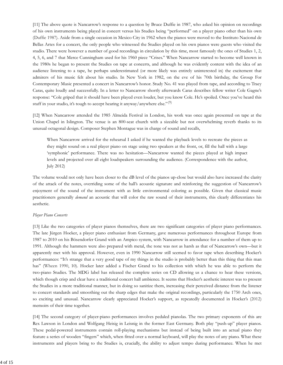[11] The above quote is Nancarrow's response to a question by Bruce Duffie in 1987, who asked his opinion on recordings of his own instruments being played in concert versus his Studies being "performed" on a player piano other than his own (Duffie 1987). Aside from a single occasion in Mexico City in 1962 when the pianos were moved to the Instituto Nacional de Bellas Artes for a concert, the only people who witnessed the Studies played on his own pianos were guests who visited the studio. There were however a number of good recordings in circulation by this time, most famously the ones of Studies 1, 2, 4, 5, 6, and 7 that Merce Cunningham used for his 1960 piece "Crises." When Nancarrow started to become well known in the 1980s he began to present the Studies on tape at concerts, and although he was evidently content with the idea of an audience listening to a tape, he perhaps underestimated (or more likely was entirely uninterested in) the excitement that admirers of his music felt about his studio. In New York in 1982, on the eve of his 70th birthday, the Group For Contemporary Music presented a concert in Nancarrow's honor. Study No. 41 was played from tape, and according to Tracy Caras, quite loudly and successfully. In a letter to Nancarrow shortly afterwards Caras describes fellow writer Cole Gagne's response: "Cole griped that it should have been played even louder, but you know Cole. He's spoiled. Once you've heard this stuff in your studio, it's tough to accept hearing it anyway/anywhere else."<sup>(9)</sup>

[12] When Nancarrow attended the 1985 Almeida Festival in London, his work was once again presented on tape at the Union Chapel in Islington. The venue is an 800-seat church with a sizeable but not overwhelming reverb thanks to its unusual octagonal design. Composer Stephen Montague was in charge of sound and recalls,

When Nancarrow arrived for the rehearsal I asked if he wanted the playback levels to recreate the pieces as they might sound on a real player piano on stage using two speakers at the front, or, fill the hall with a large 'symphonic' performance. There was no hesitation—Nancarrow wanted the pieces played at high impact levels and projected over all eight loudspeakers surrounding the audience. (Correspondence with the author, July 2012)

The volume would not only have been closer to the dB level of the pianos up-close but would also have increased the clarity of the attack of the notes, overriding some of the hall's acoustic signature and reinforcing the suggestion of Nancarrow's enjoyment of the sound of the instrument with as little environmental coloring as possible. Given that classical music practitioners generally *demand* an acoustic that will color the raw sound of their instruments, this clearly differentiates his aesthetic.

#### *Player Piano Concerts*

[13] Like the two categories of player pianos themselves, there are two significant categories of player piano performances. The late Jürgen Hocker, a player piano enthusiast from Germany, gave numerous performances throughout Europe from 1987 to 2010 on his Bösendorfer Grand with an Ampico system, with Nancarrow in attendance for a number of them up to 1991. Although the hammers were also prepared with metal, the tone was not as harsh as that of Nancarrow's own—but it apparently met with his approval. However, even in 1990 Nancarrow still seemed to favor tape when describing Hocker's performances: "It's strange that a very good tape of my things in the studio is probably better than this thing that this man has" (Wheen 1990, 10). Hocker later added a Fischer Grand to his collection with which he was able to perform the two-piano Studies. The MDG label has released the complete series on CD allowing us a chance to hear these versions, which though crisp and clear have a traditional concert hall ambience. It seems that Hocker's aesthetic interest was to present the Studies in a more traditional manner, but in doing so sanitize them, increasing their perceived distance from the listener to concert standards and smoothing out the sharp edges that make the original recordings, particularly the 1750 Arch ones, so exciting and unusual. Nancarrow clearly appreciated Hocker's support, as repeatedly documented in Hocker's (2012) memoirs of their time together.

[14] The second category of player-piano performances involves pedaled pianolas. The two primary exponents of this are Rex Lawson in London and Wolfgang Heisig in Leisnig in the former East Germany. Both play "push-up" player pianos. These pedal-powered instruments contain roll-playing mechanisms but instead of being built into an actual piano they feature a series of wooden "fingers" which, when fitted over a normal keyboard, will play the notes of any piano. What these instruments and players bring to the Studies is, crucially, the ability to adjust tempo during performance. When he met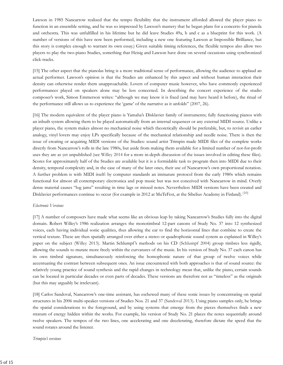Lawson in 1985 Nancarrow realized that the tempo flexibility that the instrument afforded allowed the player piano to function in an ensemble setting, and he was so impressed by Lawson's mastery that he began plans for a concerto for pianola and orchestra. This was unfulfilled in his lifetime but he did leave Studies 49a, b and c as a blueprint for this work. (A number of versions of this have now been performed, including a new one featuring Lawson at Impossible Brilliance, but this story is complex enough to warrant its own essay.) Given suitable timing references, the flexible tempos also allow two players to play the two-piano Studies, something that Heisig and Lawson have done on several occasions using synchronized click-tracks.

[15] The other aspect that the pianolas bring is a more traditional sense of performance, allowing the audience to applaud an actual performer. Lawson's opinion is that the Studies are enhanced by this aspect and without human interaction their density can otherwise render them unapproachable. Lovers of computer music however, who have commonly experienced performances played on speakers alone may be less concerned. In describing the concert experience of the studio composer's work, Simon Emmerson writes: "although we may know it is fixed (and may have heard it before), the ritual of the performance still allows us to experience the 'game' of the narrative as it unfolds" (2007, 26).

[16] The modern equivalent of the player piano is Yamaha's Disklavier family of instruments; fully functioning pianos with an inbuilt system allowing them to be played automatically from an internal sequencer or any external MIDI source. Unlike a player piano, the system makes almost no mechanical noise which theoretically should be preferable, but, to revisit an earlier analogy, vinyl lovers may enjoy LPs specifically because of the mechanical relationship and needle noise. There is then the issue of creating or acquiring MIDI versions of the Studies: sound artist Trimpin made MIDI files of the complete works directly from Nancarrow's rolls in the late 1980s, but aside from making them available for a limited number of not-for-profit uses they are as yet unpublished (see Willey 2014 for a more in-depth discussion of the issues involved in editing these files). Scores for approximately half of the Studies are available but it is a formidable task to program then into MIDI due to their density, temporal complexity and, in the case of many of the later ones, their use of Nancarrow's own proportional notation. A further problem is with MIDI itself: by computer standards an immature protocol from the early 1980s which remains functional for almost all contemporary electronica and pop music but was not conceived with Nancarrow in mind. Overly dense material causes "log jams" resulting in time lags or missed notes. Nevertheless MIDI versions have been created and Disklavier performances continue to occur (for example in 2012 at MuTeFest, at the Sibelius Academy in Finland).<sup>(10)</sup>

#### *Electronic Versions*

[17] A number of composers have made what seems like an obvious leap by taking Nancarrow's Studies fully into the digital domain. Robert Willey's 1986 realization arranges the monotimbral 12-part canons of Study No. 37 into 12 synthesized voices, each having individual sonic qualities, thus allowing the ear to find the horizontal lines that combine to create the vertical texture. These are then spatially arranged over either a stereo or quadrophonic sound system as explained in Willey's paper on the subject (Willey 2013). Martin Schlumpf 's methods on his CD (Schlumpf 2004) group timbres less rigidly, allowing the sounds to mutate more freely within the curvatures of the music. In his version of Study No. 37 each canon has its own timbral signature, simultaneously reinforcing the homophonic nature of that group of twelve voices while accentuating the contrast between subsequent ones. An issue encountered with both approaches is that of sound source: the relatively young practice of sound synthesis and the rapid changes in technology mean that, unlike the piano, certain sounds can be located in particular decades or even parts of decades. These versions are therefore not as "timeless" as the originals (but this may arguably be irrelevant).

[18] Carlos Sandoval, Nancarrow's one-time assistant, has eschewed many of these sonic issues by concentrating on spatial structures in his 2006 multi-speaker versions of Studies Nos. 21 and 37 (Sandoval 2013). Using piano samples only, he brings the spatial considerations to the foreground, and by using systems that emerge from the pieces themselves finds a new stratum of energy hidden within the works. For example, his version of Study No. 21 places the notes sequentially around twelve speakers. The tempos of the two lines, one accelerating and one decelerating, therefore dictate the speed that the sound rotates around the listener.

*Trimpin's versions*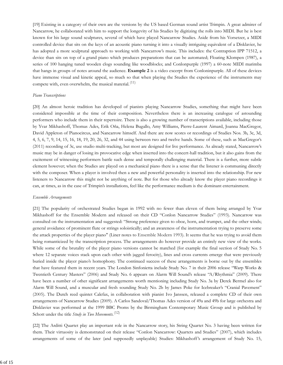[19] Existing in a category of their own are the versions by the US based German sound artist Trimpin. A great admirer of Nancarrow, he collaborated with him to support the longevity of his Studies by digitizing the rolls into MIDI. But he is best known for his large sound sculptures, several of which have played Nancarrow Studies. Aside from his Vorsetzer, a MIDI controlled device that sits on the keys of an acoustic piano turning it into a visually intriguing equivalent of a Disklavier, he has adopted a more sculptural approach to working with Nancarrow's music. This includes: the Contraption IPP 71512, a device than sits on top of a grand piano which produces preparations that can be automated; Floating Klompen (1987), a series of 100 hanging tuned wooden clogs sounding like woodblocks; and Conlonpurple (1997) a 60-note MIDI marimba that hangs in groups of notes around the audience. **Example 2** is a video excerpt from Conloninpurple. All of these devices have immense visual and kinetic appeal, so much so that when playing the Studies the experience of the instruments may compete with, even overwhelm, the musical material. $(11)$ 

#### *Piano Transcriptions*

[20] An almost heroic tradition has developed of pianists playing Nancarrow Studies, something that might have been considered impossible at the time of their composition. Nevertheless there is an increasing catalogue of astounding performers who include them in their repertoire. There is also a growing number of transcriptions available, including those by Yvar Mikhashoff, Thomas Ades, Erik Oña, Helena Bugallo, Amy Williams, Pierre-Laurent Aimard, Joanna MacGregor, David Appleton of Pianocircus, and Nancarrow himself. And there are now scores or recordings of Studies Nos. 3b, 3c, 3d, 4, 5, 6, 7, 9, 14, 15, 16, 18, 19, 20, 26, 32, and 44 using between two and twelve hands. Some of these, such as MacGregor's (2011) recording of 3c, use studio multi-tracking, but most are designed for live performance. As already stated, Nancarrow's music may be in danger of losing its provocative edge when inserted into the concert-hall tradition, but it also gains from the excitement of witnessing performers battle such dense and temporally challenging material. There is a further, more subtle element however; when the Studies are played on a mechanical piano there is a sense that the listener is communing directly with the composer. When a player is involved then a new and powerful personality is inserted into the relationship. For new listeners to Nancarrow this might not be anything of note. But for those who already know the player piano recordings it can, at times, as in the case of Trimpin's installations, feel like the performance medium is the dominant entertainment.

#### *Ensemble Arrangements*

[21] The popularity of orchestrated Studies began in 1992 with no fewer than eleven of them being arranged by Yvar Mikhashoff for the Ensemble Modern and released on their CD "Conlon Nancarrow Studies" (1993). Nancarrow was consulted on the instrumentation and suggested: "Strong preference given to oboe, horn, and trumpet, and the other winds; general avoidance of prominent flute or strings soloistically; and an awareness of the instrumentation trying to preserve some the attack properties of the player piano" (Liner notes to Ensemble Modern 1993). It seems that he was trying to avoid them being romanticized by the transcription process. The arrangements do however provide an entirely new view of the works. While some of the brutality of the player piano versions cannot be matched (for example the final section of Study No. 5 where 12 separate voices stack upon each other with jagged ferocity), lines and cross currents emerge that were previously buried inside the player piano's homophony. The continued success of these arrangements is borne out by the ensembles that have featured them in recent years. The London Sinfonietta include Study No. 7 in their 2006 release "Warp Works & Twentieth Century Masters" (2006) and Study No. 6 appears on Alarm Will Sound's release "A/Rhythmia" (2009). There have been a number of other significant arrangements worth mentioning including Study No. 3a by Derek Bermel also for Alarm Will Sound, and a muscular and fresh sounding Study No. 2b by James Poke for Icebreaker's "Cranial Pavement" (2005). The Dutch reed quintet Calefax, in collaboration with pianist Ivo Janssen, released a complete CD of their own arrangements of Nancarrow Studies (2009). A Carlos Sandoval/Thomas Ades version of 49a and 49b for large orchestra and Disklavier was performed at the 1999 BBC Proms by the Birmingham Contemporary Music Group and is published by Schott under the title *Study in Two Movements*. (12)

[22] The Arditti Quartet play an important role in the Nancarrow story, his String Quartet No. 3 having been written for them. Their virtuosity is demonstrated on their release "Conlon Nancarrow: Quartets and Studies" (2007), which includes arrangements of some of the later (and supposedly unplayable) Studies: Mikhashoff 's arrangement of Study No. 15,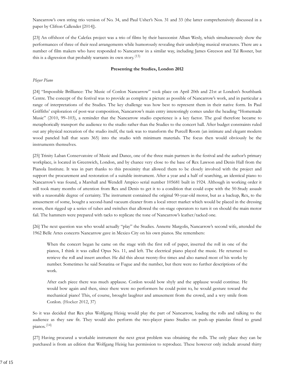Nancarrow's own string trio version of No. 34, and Paul Usher's Nos. 31 and 33 (the latter comprehensively discussed in a paper by Clifton Callender [2014]).

[23] An offshoot of the Calefax project was a trio of films by their bassoonist Alban Wesly, which simultaneously show the performances of three of their reed arrangements while humorously revealing their underlying musical structures. There are a number of film makers who have responded to Nancarrow in a similar way, including James Greeson and Tal Rosner, but this is a digression that probably warrants its own story.<sup>(13)</sup>

#### **Presenting the Studies, London 2012**

#### *Player Piano*

[24] "Impossible Brilliance: The Music of Conlon Nancarrow" took place on April 20th and 21st at London's Southbank Centre. The concept of the festival was to provide as complete a picture as possible of Nancarrow's work, and in particular a range of interpretations of the Studies. The key challenge was how best to represent them in their native form. In Paul Griffiths' exploration of post-war composition, Nancarrow's main entry interestingly comes under the heading "Homemade Music" (2010, 99–103), a reminder that the Nancarrow studio experience is a key factor. The goal therefore became to metaphorically transport the audience to the studio rather than the Studies to the concert hall. After budget constraints ruled out any physical recreation of the studio itself, the task was to transform the Purcell Room (an intimate and elegant modern wood paneled hall that seats 365) into the studio with minimum materials. The focus then would obviously be the instruments themselves.

[25] Trinity Laban Conservatoire of Music and Dance, one of the three main partners in the festival and the author's primary workplace, is located in Greenwich, London, and by chance very close to the base of Rex Lawson and Denis Hall from the Pianola Institute. It was in part thanks to this proximity that allowed them to be closely involved with the project and support the procurement and restoration of a suitable instrument. After a year and a half of searching, an identical piano to Nancarrow's was found, a Marshall and Wendell Ampico serial number 105681 built in 1924. Although in working order it still took many months of attention from Rex and Denis to get it to a condition that could cope with the 50-Study assault with a reasonable degree of certainty. The instrument contained the original 90-year-old motor, but as a backup, Rex, to the amusement of some, bought a second-hand vacuum cleaner from a local street market which would be placed in the dressing room, then rigged up a series of tubes and switches that allowed the on-stage operators to turn it on should the main motor fail. The hammers were prepared with tacks to replicate the tone of Nancarrow's leather/tacked one.

[26] The next question was who would actually "play" the Studies. Annette Margolis, Nancarrow's second wife, attended the 1962 Belle Artes concerts Nancarrow gave in Mexico City on his own pianos. She remembers:

When the concert began he came on the stage with the first roll of paper, inserted the roll in one of the pianos, I think it was called Opus No. 11, and left. The electrical piano played the music. He returned to retrieve the roll and insert another. He did this about twenty-five times and also named most of his works by number. Sometimes he said Sonatina or Fugue and the number, but there were no further descriptions of the work.

After each piece there was much applause. Conlon would bow shyly and the applause would continue. He would bow again and then, since there were no performers he could point to, he would gesture toward the mechanical piano! This, of course, brought laughter and amusement from the crowd, and a wry smile from Conlon. (Hocker 2012, 37)

So it was decided that Rex plus Wolfgang Heisig would play the part of Nancarrow, loading the rolls and talking to the audience as they saw fit. They would also perform the two-player piano Studies on push-up pianolas fitted to grand  $pianos.<sup>(14)</sup>$ 

[27] Having procured a workable instrument the next great problem was obtaining the rolls. The only place they can be purchased is from an edition that Wolfgang Heisig has permission to reproduce. These however only include around thirty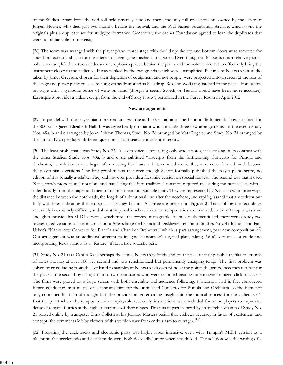of the Studies. Apart from the odd roll held privately here and there, the only full collections are owned by the estate of Jürgen Hocker, who died just two months before the festival, and the Paul Sacher Foundation Archive, which owns the originals plus a duplicate set for study/performance. Generously the Sacher Foundation agreed to loan the duplicates that were not obtainable from Heisig.

[28] The room was arranged with the player piano center stage with the lid up; the top and bottom doors were removed for sound projection and also for the interest of seeing the mechanism at work. Even though at 365 seats it is a relatively small hall, it was amplified via two condenser microphones placed behind the piano and the volume was set to effectively bring the instrument closer to the audience. It was flanked by the two grands which were unamplified. Pictures of Nancarrow's studio taken by James Greeson, chosen for their depiction of equipment and not people, were projected onto a screen at the rear of the stage and player piano rolls were hung vertically around as backdrop. Rex and Wolfgang listened to the pieces from a sofa on stage with a symbolic bottle of wine on hand (though it seems Scotch or Tequila would have been more accurate). **Example 3** provides a video excerpt from the end of Study No. 37, performed in the Purcell Room in April 2012.

#### **New arrangements**

[29] In parallel with the player piano preparations was the author's curation of the London Sinfonietta's show, destined for the 800-seat Queen Elizabeth Hall. It was agreed early on that it would include three new arrangements for the event: Study Nos. 49a, b and c arranged by John Ashton Thomas, Study No. 26 arranged by Matt Rogers, and Study No. 21 arranged by the author. Each produced different questions in our search for artistic integrity.

[30] The least problematic was Study No. 26. A seven-voice canon using only whole notes, it is striking in its contrast with the other Studies. Study Nos. 49a, b and c are subtitled "Excerpts from the forthcoming Concerto for Pianola and Orchestra," which Nancarrow began after meeting Rex Lawson but, as noted above, they were never formed much beyond the player-piano versions. The first problem was that even though Schott formally published the player piano score, no edition of it is actually available. They did however provide a facsimile version on special request. The second was that it used Nancarrow's proportional notation, and translating this into traditional notation required measuring the note values with a ruler directly from the paper and then translating them into suitable units. They are represented by Nancarrow in three ways: the distance between the noteheads, the length of a durational line after the notehead, and rapid glissandi that are written out fully with lines indicating the temporal space they fit into. All three are present in **Figure 3**. Transcribing the recordings accurately is extremely difficult, and almost impossible where irrational tempo ratios are involved. Luckily Trimpin was kind enough to provide his MIDI versions, which made the process manageable. As previously mentioned, there were already two orchestrated versions of this in circulation: Ades's large orchestra and Disklavier version of Studies Nos. 49 b and c and Paul Usher's "Nancarrow Concerto for Pianola and Chamber Orchestra," which is part arrangement, part new composition.<sup>(15)</sup> Our arrangement was an additional attempt to imagine Nancarrow's original plan, taking Ades's version as a guide and incorporating Rex's pianola as a "feature" if not a true soloistic part.

[31] Study No. 21 (aka Canon X) is perhaps the iconic Nancarrow Study and on the face of it unplayable thanks to streams of notes moving at over 100 per second and two synchronized but permanently changing tempi. The first problem was solved by cross fading from the live band to samples of Nancarrow's own piano at the points the tempo becomes too fast for the players, the second by using a film of two conductors who were recorded beating time to synchronized click-tracks.<sup>(16)</sup> The films were played on a large screen with both ensemble and audience following. Nancarrow had in fact considered filmed conductors as a means of synchronization for the unfinished Concerto for Pianola and Orchestra, so the films not only continued his train of thought but also provided an entertaining insight into the musical process for the audience.<sup> $(17)$ </sup> Past the point where the tempos become unplayable accurately, instructions were included for some players to improvise dense chromatic flurries at the highest extremes of their ranges. This was in part inspired by an anarchic version of Study No. 21 posted online by trumpeter Chris Colletti at his Juilliard Masters recital that eschews accuracy in favor of excitement and concept (the comments left by viewers of this version vary from enthusiasm to outrage).<sup>(18)</sup>

[32] Preparing the click-tracks and electronic parts was highly labor intensive: even with Trimpin's MIDI version as a blueprint, the accelerando and decelerando were both decidedly lumpy when scrutinized. The solution was the writing of a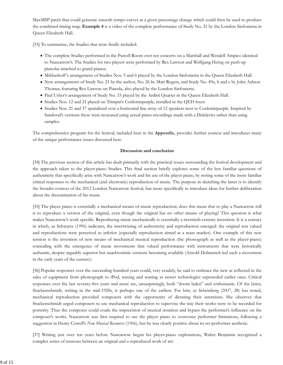MaxMSP patch that could generate smooth tempo curves at a given percentage change which could then be used to produce the combined timing map. **Example 4** is a video of the complete performance of Study No. 21 by the London Sinfonietta in Queen Elizabeth Hall.

[33] To summarize, the Studies that were finally included:

- The complete Studies performed in the Purcell Room over ten concerts on a Marshall and Wendell Ampico identical to Nancarrow's. The Studies for two players were performed by Rex Lawson and Wolfgang Heisig on push-up pianolas attached to grand pianos.
- Mikhashoff 's arrangement of Studies Nos. 5 and 6 played by the London Sinfonietta in the Queen Elizabeth Hall.
- New arrangements of Study No. 21 by the author, No. 26 by Matt Rogers, and Study No. 49a, b and c by John Ashton Thomas, featuring Rex Lawson on Pianola, also played by the London Sinfonietta.
- Paul Usher's arrangement of Study No. 33 played by the Arditti Quartet in the Queen Elizabeth Hall.
- Studies Nos. 12 and 21 played on Trimpin's Conloninpurple, installed in the QEH foyer.
- Studies Nos. 21 and 37 spatialized over a horizontal line array of 12 speakers next to Conloninpurple. Inspired by Sandoval's versions these were recreated using actual piano recordings made with a Disklavier rather than using samples.

The comprehensive program for the festival, included here in the **Appendix**, provides further context and introduces many of the unique performance issues discussed here.

#### **Discussion and conclusion**

[34] The previous section of this article has dealt primarily with the practical issues surrounding the festival development and the approach taken to the player-piano Studies. This final section briefly explores some of the less familiar questions of authenticity that specifically arise with Nancarrow's work and his use of the player piano, by noting some of the more familiar critical responses to the mechanical (and electronic) reproduction of music. The purpose in sketching the latter is to identify the broader context of the 2012 London Nancarrow festival, but more specifically to introduce ideas for further deliberation about the dissemination of his music.

[35] The player piano is essentially a mechanical means of music reproduction; does this mean that to play a Nancarrow roll is to reproduce a version of the original, even though the original has no other means of playing? This question is what makes Nancarrow's work specific. Reproducing music mechanically is essentially a twentieth-century invention. It is a century in which, as Schwartz (1996) indicates, the intertwining of authenticity and reproduction emerged: the original was valued and reproductions were perceived as inferior (especially reproduction aimed at a mass market). One example of this new tension is the invention of new means of mechanical musical reproduction (the phonograph as well as the player-piano) coinciding with the emergence of music movements that valued performance with instruments that were historically authentic, despite arguably superior but anachronistic versions becoming available (Arnold Dolmetsch led such a movement in the early years of the century).

[36] Popular responses over the succeeding hundred years could, very crudely, be said to embrace the new as reflected in the sales of equipment from phonograph to iPod, waxing and waning as newer technologies superseded earlier ones. Critical responses over the last seventy-five years and more are, unsurprisingly, both "doom laden" and enthusiastic. Of the latter, Stuckenschmidt, writing in the mid-1920s, is perhaps one of the earliest. For him, as Scheinberg (2007, 28) has noted, mechanical reproduction provided composers with the opportunity of dictating their intentions. She observes that Stuckenschmidt urged composers to use mechanical reproduction to supervise the way their works were to be recorded for posterity. Thus the composer could evade the imprecision of musical notation and bypass the performer's influence on the composer's works. Nancarrow was first inspired to use the player piano to overcome performer limitations, following a suggestion in Henry Cowell's *New Musical Resources* (1966), but he was clearly positive about its no-performer aesthetic.

[37] Writing just over ten years before Nancarrow began his player-piano explorations, Walter Benjamin recognized a complex series of tensions between an original and a reproduced work of art: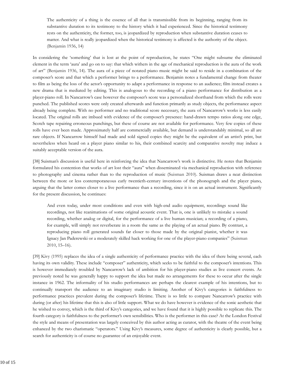The authenticity of a thing is the essence of all that is transmissible from its beginning, ranging from its substantive duration to its testimony to the history which it had experienced. Since the historical testimony rests on the authenticity, the former, too, is jeopardized by reproduction when substantive duration ceases to matter. And what is really jeopardized when the historical testimony is affected is the authority of the object. (Benjamin 1936, 14)

In considering the 'something' that is lost at the point of reproduction, he states "One might subsume the eliminated element in the term 'aura' and go on to say: that which withers in the age of mechanical reproduction is the aura of the work of art" (Benjamin 1936, 14). The aura of a piece of notated piano music might be said to reside in a combination of the composer's score and that which a performer brings to a performance. Benjamin notes a fundamental change from theater to film as being the loss of the actor's opportunity to adapt a performance in response to an audience; film instead creates a new drama that is mediated by editing. This is analogous to the recording of a piano performance for distribution as a player-piano roll. In Nancarrow's case however the composer's score was a personalized shorthand from which the rolls were punched. The published scores were only created afterwards and function primarily as study objects, the performance aspect already being complete. With no performer and no traditional score necessary, the aura of Nancarrow's works is less easily located. The original rolls are imbued with evidence of the composer's presence: hand-drawn tempo ratios along one edge, Scotch tape repairing erroneous punchings, but these of course are not available for performance. Very few copies of these rolls have ever been made. Approximately half are commercially available, but demand is understandably minimal, so all are rare objects. If Nancarrow himself had made and sold signed copies they might be the equivalent of an artist's print, but nevertheless when heard on a player piano similar to his, their combined scarcity and comparative novelty may induce a suitably acceptable version of the aura.

[38] Suisman's discussion is useful here in reinforcing the idea that Nancarrow's work is distinctive. He notes that Benjamin formulated his contention that works of art lost their "aura" when disseminated via mechanical reproduction with reference to photography and cinema rather than to the reproduction of music (Suisman 2010). Suisman draws a neat distinction between the more or less contemporaneous early twentieth-century inventions of the phonograph and the player piano, arguing that the latter comes closer to a live performance than a recording, since it is on an actual instrument. Significantly for the present discussion, he continues:

And even today, under most conditions and even with high-end audio equipment, recordings sound like recordings, not like reanimations of some original acoustic event. That is, one is unlikely to mistake a sound recording, whether analog or digital, for the performance of a live human musician; a recording of a piano, for example, will simply not reverberate in a room the same as the playing of an actual piano. By contrast, a reproducing piano roll generated sounds far closer to those made by the original pianist, whether it was Ignacy Jan Paderewski or a moderately skilled hack working for one of the player-piano companies" (Suisman 2010, 15–16).

[39] Kivy (1995) replaces the idea of a single authenticity of performance practice with the idea of there being several, each having its own validity. These include "composer" authenticity, which seeks to be faithful to the composer's intentions. This is however immediately troubled by Nancarrow's lack of ambition for his player-piano studies as live concert events. As previously noted he was generally happy to support the idea but made no arrangements for these to occur after the single instance in 1962. The informality of his studio performances are perhaps the clearest example of his intentions, but to continually transport the audience to an imaginary studio is limiting. Another of Kivy's categories is faithfulness to performance practices prevalent during the composer's lifetime. There is so little to compare Nancarrow's practice with during (or after) his lifetime that this is also of little support. What we do have however is evidence of the sonic aesthetic that he wished to convey, which is the third of Kivy's categories, and we have found that it is highly possible to replicate this. The fourth category is faithfulness to the performer's own sensibilities. Who is the performer in this case? At the London Festival the style and means of presentation was largely conceived by this author acting as curator, with the theatre of the event being enhanced by the two charismatic "operators." Using Kivy's measures, some degree of authenticity is clearly possible, but a search for authenticity is of course no guarantee of an enjoyable event.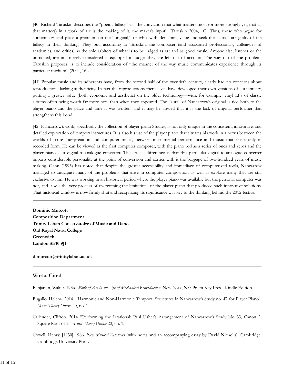[40] Richard Taruskin describes the "poeitic fallacy" as "the conviction that what matters most (or more strongly yet, that all that matters) in a work of art is the making of it, the maker's input" (Taruskin 2004, 10). Thus, those who argue for authenticity, and place a premium on the "original," or who, with Benjamin, value and seek the "aura," are guilty of the fallacy in their thinking. They put, according to Taruskin, the composer (and associated professionals, colleagues of academics, and critics) as the sole arbiters of what is to be judged as art and as good music. Anyone else, listener or the untrained, are not merely considered ill-equipped to judge, they are left out of account. The way out of the problem, Taruskin proposes, is to include consideration of "the manner of the way music communicates experience through its particular medium" (2004, 16).

[41] Popular music and its adherents have, from the second half of the twentieth century, clearly had no concerns about reproductions lacking authenticity. In fact the reproductions themselves have developed their own versions of authenticity, putting a greater value (both economic and aesthetic) on the older technology—with, for example, vinyl LPs of classic albums often being worth far more now than when they appeared. The "aura" of Nancarrow's original is tied both to the player piano and the place and time it was written, and it may be argued that it is the lack of original performer that strengthens this bond.

[42] Nancarrow's work, specifically the collection of player-piano Studies, is not only unique in the consistent, innovative, and detailed exploration of temporal structures. It is also his use of the player piano that situates his work in a nexus between the worlds of score interpretation and computer music, between instrumental performance and music that exists only in recorded form. He can be viewed as the first computer composer, with the piano roll as a series of ones and zeros and the player piano as a digital-to-analogue converter. The crucial difference is that this particular digital-to-analogue converter imparts considerable personality at the point of conversion and carries with it the baggage of two-hundred years of music making. Gann (1995) has noted that despite the greater accessibility and immediacy of computerized tools, Nancarrow managed to anticipate many of the problems that arise in computer composition as well as explore many that are still exclusive to him. He was working in an historical period where the player piano was available but the personal computer was not, and it was the very process of overcoming the limitations of the player piano that produced such innovative solutions. That historical window is now firmly shut and recognizing its significance was key to the thinking behind the 2012 festival.

**Dominic Murcott Composition Department Trinity Laban Conservatoire of Music and Dance Old Royal Naval College Greenwich London SE10 9JF**

**d.murcott@trinitylaban.ac.uk**

#### **Works Cited**

Benjamin, Walter. 1936. *Work of Art in the Age of Mechanical Reproduction*. New York, NY: Prism Key Press, Kindle Edition.

- Bugallo, Helena. 2014. "Harmonic and Non-Harmonic Temporal Structures in Nancarrow's Study no. 47 for Player Piano." *Music Theory Online* 20, no. 1.
- Callender, Clifton. 2014 "Performing the Irrational: Paul Usher's Arrangement of Nancarrow's Study No 33, Canon 2: Square Root of 2." *Music Theory Online* 20, no. 1.
- Cowell, Henry. [1930] 1966. *New Musical Resources* (with notes and an accompanying essay by David Nicholls). Cambridge: Cambridge University Press.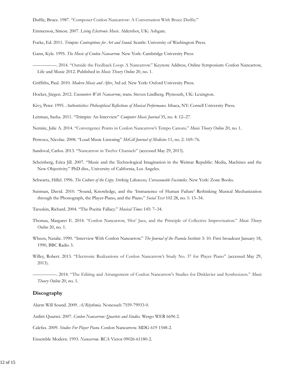Duffie, Bruce. 1987. "Composer Conlon Nancarrow: A Conversation With Bruce Duffie."

Emmerson, Simon. 2007. *Living Electronic Music.* Aldershot, UK: Ashgate.

Focke, Ed. 2011. *Trimpin: Contraptions for Art and Sound*. Seattle: University of Washington Press.

Gann, Kyle. 1995. *The Music of Conlon Nancarrow.* New York: Cambridge University Press

—————. 2014. "Outside the Feedback Loop: A Nancarrow." Keynote Address, Online Symposium: Conlon Nancarrow, Life and Music 2012. Published in *Music Theory Online* 20, no. 1.

Griffiths, Paul. 2010. *Modern Music and After*, 3rd ed. New York: Oxford University Press.

Hocker, Jürgen. 2012. *Encounters With Nancarrow*, trans. Steven Lindberg. Plymouth, UK: Lexington.

Kivy, Peter. 1995. *Authenticities: Philosophical Reflections of Musical Performance.* Ithaca, NY: Cornell University Press.

Leitman, Sasha. 2011. "Trimpin: An Interview" *Computer Music Journal* 35, no. 4: 12–27.

Nemire, Julie A. 2014. "Convergence Points in Conlon Nancarrow's Tempo Canons." *Music Theory Online* 20, no. 1.

Petrescu, Nicolae. 2008. "Loud Music Listening" *McGill Journal of Medicine* 11, no. 2: 169–76.

Sandoval, Carlos. 2013. "Nancarrow in Twelve Channels" (accessed May 29, 2013).

Scheinberg, Erica Jill. 2007. "Music and the Technological Imagination in the Weimar Republic: Media, Machines and the New Objectivity." PhD diss., University of California, Los Angeles.

Schwartz, Hillel. 1996. *The Culture of the Copy: Striking Likenesses, Unreasonable Facsimiles*. New York: Zone Books.

Suisman, David. 2010. "Sound, Knowledge, and the 'Immanence of Human Failure' Rethinking Musical Mechanization through the Phonograph, the Player-Piano, and the Piano." *Social Text* 102 28, no. 1: 13–34.

Taruskin, Richard. 2004. "The Poeitic Fallacy." *Musical Times* 145: 7–34.

Thomas, Margaret E. 2014. "Conlon Nancarrow, 'Hot' Jazz, and the Principle of Collective Improvisation." *Music Theory Online* 20, no. 1.

Wheen, Natalie. 1990. "Interview With Conlon Nancarrow." *The Journal of the Pianola Institute* 3: 10. First broadcast January 18, 1990, BBC Radio 3.

Willey, Robert. 2013. "Electronic Realizations of Conlon Nancarrow's Study No. 37 for Player Piano" (accessed May 29, 2013).

—————. 2014. "The Editing and Arrangement of Conlon Nancarrow's Studies for Disklavier and Synthesizers." *Music Theory Online* 20, no. 1.

#### **Discography**

Alarm Will Sound. 2009. *A/Rhythmia.* Nonesuch 7559-79933-0.

Arditti Quartet. 2007. *Conlon Nancarrow: Quartets and Studies.* Wergo WER 6696 2.

Calefax. 2009. *Studies For Player Piano.* Conlon Nancarrow. MDG 619 1548-2.

Ensemble Modern. 1993. *Nancarrow*. RCA Victor 09026-61180-2.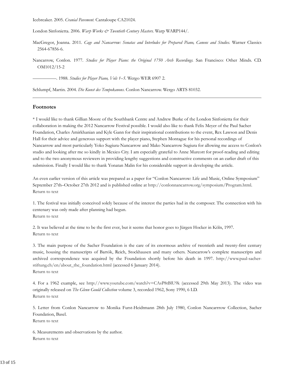Icebreaker. 2005. *Cranial Pavement.* Cantaloupe CA21024.

London Sinfonietta. 2006. *Warp Works & Twentieth Century Masters.* Warp WARP144/.

- MacGregor, Joanna. 2011. *Cage and Nancarrow: Sonatas and Interludes for Prepared Piano, Canons and Studies.* Warner Classics 2564-67856-6.
- Nancarrow, Conlon. 1977. *Studies for Player Piano: the Original 1750 Arch Recordings.* San Francisco: Other Minds. CD. OM1012/15-2

—————. 1988. *Studies for Player Piano, Vols 1–5.* Wergo WER 6907 2.

Schlumpf, Martin. 2004. *Die Kunst des Tempokanons*. Conlon Nancarrow. Wergo ARTS 81032.

#### **Footnotes**

\* I would like to thank Gillian Moore of the Southbank Centre and Andrew Burke of the London Sinfonietta for their collaboration in making the 2012 Nancarrow Festival possible. I would also like to thank Felix Meyer of the Paul Sacher Foundation, Charles Amirkhanian and Kyle Gann for their inspirational contributions to the event, Rex Lawson and Denis Hall for their advice and generous support with the player piano, Stephen Montague for his personal recordings of Nancarrow and most particularly Yoko Sugiura-Nancarrow and Mako Nancarrow Sugiura for allowing me access to Conlon's studio and looking after me so kindly in Mexico City. I am especially grateful to Anne Murcott for proof-reading and editing and to the two anonymous reviewers in providing lengthy suggestions and constructive comments on an earlier draft of this submission. Finally I would like to thank Yonatan Malin for his considerable support in developing the article.

An even earlier version of this article was prepared as a paper for "Conlon Nancarrow: Life and Music, Online Symposium" September 27th–October 27th 2012 and is published online at http://conlonnancarrow.org/symposium/Program.html. Return to text

1. The festival was initially conceived solely because of the interest the parties had in the composer. The connection with his centenary was only made after planning had begun. Return to text

2. It was believed at the time to be the first ever, but it seems that honor goes to Jürgen Hocker in Köln, 1997. Return to text

3. The main purpose of the Sacher Foundation is the care of its enormous archive of twentieth and twenty-first century music, housing the manuscripts of Bartók, Reich, Stockhausen and many others. Nancarrow's complete manuscripts and archived correspondence was acquired by the Foundation shortly before his death in 1997. http://www.paul-sacherstiftung.ch/en/about\_the\_foundation.html (accessed 6 January 2014). Return to text

4. For a 1962 example, see http://www.youtube.com/watch?v=CAsP8tBlU9k (accessed 29th May 2013). The video was originally released on *The Glenn Gould Collection* volume 3, recorded 1962, Sony 1990, 6 LD. Return to text

5. Letter from Conlon Nancarrow to Monika Furst-Heidtmann 28th July 1980, Conlon Nancarrrow Collection, Sacher Foundation, Basel.

Return to text

6. Measurements and observations by the author. Return to text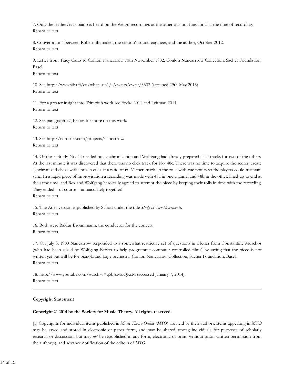7. Only the leather/tack piano is heard on the Wergo recordings as the other was not functional at the time of recording. Return to text

8. Conversations between Robert Shumaker, the session's sound engineer, and the author, October 2012. Return to text

9. Letter from Tracy Caras to Conlon Nancarrow 10th November 1982, Conlon Nancarrrow Collection, Sacher Foundation, Basel.

Return to text

10. See http://www.siba.fi/en/whats-on1/-/events/event/3302 (accessed 29th May 2013). Return to text

11. For a greater insight into Trimpin's work see Focke 2011 and Leitman 2011. Return to text

12. See paragraph 27, below, for more on this work. Return to text

13. See http://talrosner.com/projects/nancarrow. Return to text

14. Of these, Study No. 44 needed no synchronization and Wolfgang had already prepared click tracks for two of the others. At the last minute it was discovered that there was no click track for No. 48c. There was no time to acquire the scores, create synchronized clicks with spoken cues at a ratio of 60:61 then mark up the rolls with cue points so the players could maintain sync. In a rapid piece of improvisation a recording was made with 48a in one channel and 48b in the other, lined up to end at the same time, and Rex and Wolfgang heroically agreed to attempt the piece by keeping their rolls in time with the recording. They ended—of course—immaculately together!

Return to text

15. The Ades version is published by Schott under the title *Study in Two Movements*. Return to text

16. Both were Baldur Brönnimann, the conductor for the concert. Return to text

17. On July 3, 1989 Nancarrow responded to a somewhat restrictive set of questions in a letter from Constantine Moschos (who had been asked by Wolfgang Becker to help programme computer controlled films) by saying that the piece is not written yet but will be for pianola and large orchestra. Conlon Nancarrow Collection, Sacher Foundation, Basel. Return to text

18. http://www.youtube.com/watch?v=q5bJcMoQRcM (accessed January 7, 2014). Return to text

#### **Copyright Statement**

#### **Copyright © 2014 by the Society for Music Theory. All rights reserved.**

[1] Copyrights for individual items published in *Music Theory Online* (*MTO*) are held by their authors. Items appearing in *MTO* may be saved and stored in electronic or paper form, and may be shared among individuals for purposes of scholarly research or discussion, but may *not* be republished in any form, electronic or print, without prior, written permission from the author(s), and advance notification of the editors of *MTO.*